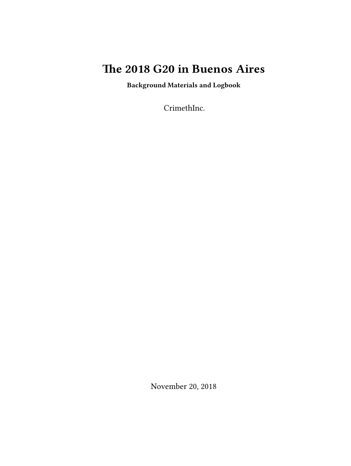# **The 2018 G20 in Buenos Aires**

**Background Materials and Logbook**

CrimethInc.

November 20, 2018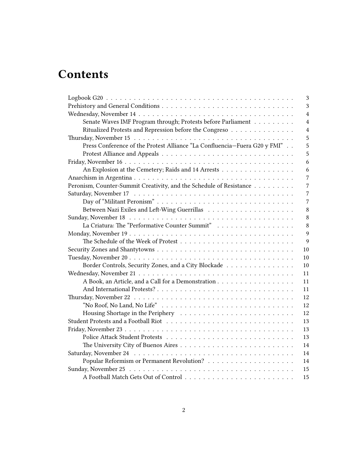# **Contents**

|                                                                           | 3              |
|---------------------------------------------------------------------------|----------------|
|                                                                           | 3              |
|                                                                           | $\overline{4}$ |
| Senate Waves IMF Program through; Protests before Parliament              | $\overline{4}$ |
| Ritualized Protests and Repression before the Congreso                    | $\overline{4}$ |
|                                                                           | 5              |
| Press Conference of the Protest Alliance "La Confluencia-Fuera G20 y FMI" | 5              |
|                                                                           | 5              |
|                                                                           | 6              |
| An Explosion at the Cemetery; Raids and 14 Arrests                        | 6              |
|                                                                           | 7              |
| Peronism, Counter-Summit Creativity, and the Schedule of Resistance       | 7              |
|                                                                           | 7              |
|                                                                           | $\overline{7}$ |
|                                                                           | 8              |
|                                                                           | 8              |
| La Criatura: The "Performative Counter Summit"                            | 8              |
|                                                                           | 9              |
|                                                                           | 9              |
|                                                                           | 10             |
|                                                                           | 10             |
| Border Controls, Security Zones, and a City Blockade                      | 10             |
|                                                                           | 11             |
| A Book, an Article, and a Call for a Demonstration                        | 11             |
|                                                                           | 11             |
|                                                                           | 12             |
|                                                                           | 12             |
|                                                                           | 12             |
|                                                                           | 13             |
|                                                                           | 13             |
|                                                                           | 13             |
|                                                                           | 14             |
|                                                                           |                |
|                                                                           |                |
|                                                                           | 15             |
|                                                                           | 15             |
|                                                                           | 14<br>14       |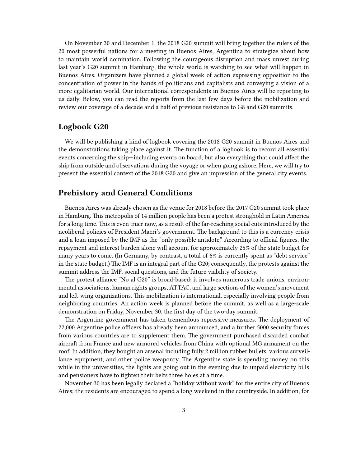On November 30 and December 1, the 2018 G20 summit will bring together the rulers of the 20 most powerful nations for a meeting in Buenos Aires, Argentina to strategize about how to maintain world domination. Following the courageous disruption and mass unrest during last year's G20 summit in Hamburg, the whole world is watching to see what will happen in Buenos Aires. Organizers have planned a global week of action expressing opposition to the concentration of power in the hands of politicians and capitalists and conveying a vision of a more egalitarian world. Our international correspondents in Buenos Aires will be reporting to us daily. Below, you can read the reports from the last few days before the mobilization and review our coverage of a decade and a half of previous resistance to G8 and G20 summits.

# <span id="page-2-0"></span>**Logbook G20**

We will be publishing a kind of logbook covering the 2018 G20 summit in Buenos Aires and the demonstrations taking place against it. The function of a logbook is to record all essential events concerning the ship—including events on board, but also everything that could affect the ship from outside and observations during the voyage or when going ashore. Here, we will try to present the essential context of the 2018 G20 and give an impression of the general city events.

# <span id="page-2-1"></span>**Prehistory and General Conditions**

Buenos Aires was already chosen as the venue for 2018 before the 2017 G20 summit took place in Hamburg. This metropolis of 14 million people has been a protest stronghold in Latin America for a long time. This is even truer now, as a result of the far-reaching social cuts introduced by the neoliberal policies of President Macri's government. The background to this is a currency crisis and a loan imposed by the IMF as the "only possible antidote." According to official figures, the repayment and interest burden alone will account for approximately 25% of the state budget for many years to come. (In Germany, by contrast, a total of 6% is currently spent as "debt service" in the state budget.) The IMF is an integral part of the G20; consequently, the protests against the summit address the IMF, social questions, and the future viability of society.

The protest alliance "No al G20" is broad-based: it involves numerous trade unions, environmental associations, human rights groups, ATTAC, and large sections of the women's movement and left-wing organizations. This mobilization is international, especially involving people from neighboring countries. An action week is planned before the summit, as well as a large-scale demonstration on Friday, November 30, the first day of the two-day summit.

The Argentine government has taken tremendous repressive measures. The deployment of 22,000 Argentine police officers has already been announced, and a further 5000 security forces from various countries are to supplement them. The government purchased discarded combat aircraft from France and new armored vehicles from China with optional MG armament on the roof. In addition, they bought an arsenal including fully 2 million rubber bullets, various surveillance equipment, and other police weaponry. The Argentine state is spending money on this while in the universities, the lights are going out in the evening due to unpaid electricity bills and pensioners have to tighten their belts three holes at a time.

November 30 has been legally declared a "holiday without work" for the entire city of Buenos Aires; the residents are encouraged to spend a long weekend in the countryside. In addition, for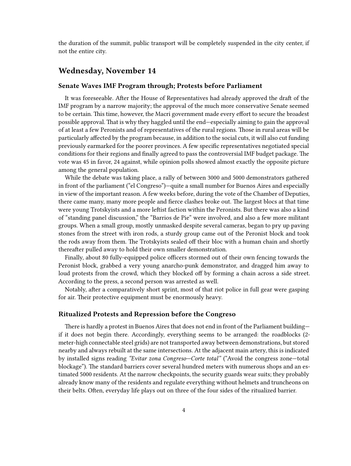the duration of the summit, public transport will be completely suspended in the city center, if not the entire city.

## <span id="page-3-0"></span>**Wednesday, November 14**

#### <span id="page-3-1"></span>**Senate Waves IMF Program through; Protests before Parliament**

It was foreseeable. After the House of Representatives had already approved the draft of the IMF program by a narrow majority; the approval of the much more conservative Senate seemed to be certain. This time, however, the Macri government made every effort to secure the broadest possible approval. That is why they haggled until the end—especially aiming to gain the approval of at least a few Peronists and of representatives of the rural regions. Those in rural areas will be particularly affected by the program because, in addition to the social cuts, it will also cut funding previously earmarked for the poorer provinces. A few specific representatives negotiated special conditions for their regions and finally agreed to pass the controversial IMF budget package. The vote was 45 in favor, 24 against, while opinion polls showed almost exactly the opposite picture among the general population.

While the debate was taking place, a rally of between 3000 and 5000 demonstrators gathered in front of the parliament ("el Congreso")—quite a small number for Buenos Aires and especially in view of the important reason. A few weeks before, during the vote of the Chamber of Deputies, there came many, many more people and fierce clashes broke out. The largest blocs at that time were young Trotskyists and a more leftist faction within the Peronists. But there was also a kind of "standing panel discussion," the "Barrios de Pie" were involved, and also a few more militant groups. When a small group, mostly unmasked despite several cameras, began to pry up paving stones from the street with iron rods, a sturdy group came out of the Peronist block and took the rods away from them. The Trotskyists sealed off their bloc with a human chain and shortly thereafter pulled away to hold their own smaller demonstration.

Finally, about 80 fully-equipped police officers stormed out of their own fencing towards the Peronist block, grabbed a very young anarcho-punk demonstrator, and dragged him away to loud protests from the crowd, which they blocked off by forming a chain across a side street. According to the press, a second person was arrested as well.

Notably, after a comparatively short sprint, most of that riot police in full gear were gasping for air. Their protective equipment must be enormously heavy.

#### <span id="page-3-2"></span>**Ritualized Protests and Repression before the Congreso**

There is hardly a protest in Buenos Aires that does not end in front of the Parliament building if it does not begin there. Accordingly, everything seems to be arranged: the roadblocks (2 meter-high connectable steel grids) are not transported away between demonstrations, but stored nearby and always rebuilt at the same intersections. At the adjacent main artery, this is indicated by installed signs reading *"Evitar zona Congreso—Corte total"* ("Avoid the congress zone—total blockage"). The standard barriers cover several hundred meters with numerous shops and an estimated 5000 residents. At the narrow checkpoints, the security guards wear suits; they probably already know many of the residents and regulate everything without helmets and truncheons on their belts. Often, everyday life plays out on three of the four sides of the ritualized barrier.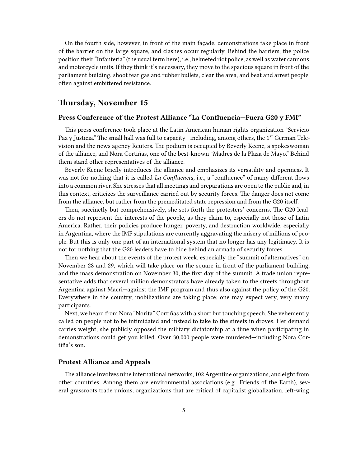On the fourth side, however, in front of the main façade, demonstrations take place in front of the barrier on the large square, and clashes occur regularly. Behind the barriers, the police position their "Infanteria" (the usual term here), i.e., helmeted riot police, as well as water cannons and motorcycle units. If they think it's necessary, they move to the spacious square in front of the parliament building, shoot tear gas and rubber bullets, clear the area, and beat and arrest people, often against embittered resistance.

## <span id="page-4-0"></span>**Thursday, November 15**

## <span id="page-4-1"></span>**Press Conference of the Protest Alliance "La Confluencia—Fuera G20 y FMI"**

This press conference took place at the Latin American human rights organization "Servicio Paz y Justicia." The small hall was full to capacity—including, among others, the  $1<sup>st</sup>$  German Television and the news agency Reuters. The podium is occupied by Beverly Keene, a spokeswoman of the alliance, and Nora Cortiñas, one of the best-known "Madres de la Plaza de Mayo." Behind them stand other representatives of the alliance.

Beverly Keene briefly introduces the alliance and emphasizes its versatility and openness. It was not for nothing that it is called *La Confluencia,* i.e., a "confluence" of many different flows into a common river. She stresses that all meetings and preparations are open to the public and, in this context, criticizes the surveillance carried out by security forces. The danger does not come from the alliance, but rather from the premeditated state repression and from the G20 itself.

Then, succinctly but comprehensively, she sets forth the protesters' concerns. The G20 leaders do not represent the interests of the people, as they claim to, especially not those of Latin America. Rather, their policies produce hunger, poverty, and destruction worldwide, especially in Argentina, where the IMF stipulations are currently aggravating the misery of millions of people. But this is only one part of an international system that no longer has any legitimacy. It is not for nothing that the G20 leaders have to hide behind an armada of security forces.

Then we hear about the events of the protest week, especially the "summit of alternatives" on November 28 and 29, which will take place on the square in front of the parliament building, and the mass demonstration on November 30, the first day of the summit. A trade union representative adds that several million demonstrators have already taken to the streets throughout Argentina against Macri—against the IMF program and thus also against the policy of the G20. Everywhere in the country, mobilizations are taking place; one may expect very, very many participants.

Next, we heard from Nora "Norita" Cortiñas with a short but touching speech. She vehemently called on people not to be intimidated and instead to take to the streets in droves. Her demand carries weight; she publicly opposed the military dictatorship at a time when participating in demonstrations could get you killed. Over 30,000 people were murdered—including Nora Cortiña's son.

## <span id="page-4-2"></span>**Protest Alliance and Appeals**

The alliance involves nine international networks, 102 Argentine organizations, and eight from other countries. Among them are environmental associations (e.g., Friends of the Earth), several grassroots trade unions, organizations that are critical of capitalist globalization, left-wing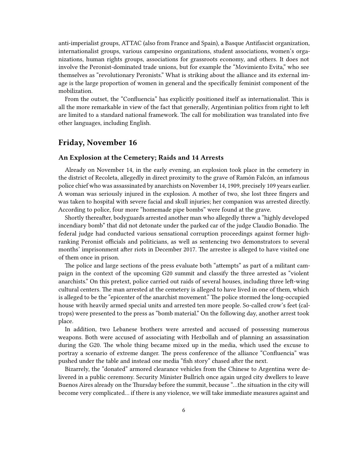anti-imperialist groups, ATTAC (also from France and Spain), a Basque Antifascist organization, internationalist groups, various campesino organizations, student associations, women's organizations, human rights groups, associations for grassroots economy, and others. It does not involve the Peronist-dominated trade unions, but for example the "Movimiento Evita," who see themselves as "revolutionary Peronists." What is striking about the alliance and its external image is the large proportion of women in general and the specifically feminist component of the mobilization.

From the outset, the "Confluencia" has explicitly positioned itself as internationalist. This is all the more remarkable in view of the fact that generally, Argentinian politics from right to left are limited to a standard national framework. The call for mobilization was translated into five other languages, including English.

## <span id="page-5-0"></span>**Friday, November 16**

#### <span id="page-5-1"></span>**An Explosion at the Cemetery; Raids and 14 Arrests**

Already on November 14, in the early evening, an explosion took place in the cemetery in the district of Recoleta, allegedly in direct proximity to the grave of Ramón Falcón, an infamous police chief who was assassinated by anarchists on November 14, 1909, precisely 109 years earlier. A woman was seriously injured in the explosion. A mother of two, she lost three fingers and was taken to hospital with severe facial and skull injuries; her companion was arrested directly. According to police, four more "homemade pipe bombs" were found at the grave.

Shortly thereafter, bodyguards arrested another man who allegedly threw a "highly developed incendiary bomb" that did not detonate under the parked car of the judge Claudio Bonadio. The federal judge had conducted various sensational corruption proceedings against former highranking Peronist officials and politicians, as well as sentencing two demonstrators to several months' imprisonment after riots in December 2017. The arrestee is alleged to have visited one of them once in prison.

The police and large sections of the press evaluate both "attempts" as part of a militant campaign in the context of the upcoming G20 summit and classify the three arrested as "violent anarchists." On this pretext, police carried out raids of several houses, including three left-wing cultural centers. The man arrested at the cemetery is alleged to have lived in one of them, which is alleged to be the "epicenter of the anarchist movement." The police stormed the long-occupied house with heavily armed special units and arrested ten more people. So-called crow's feet (caltrops) were presented to the press as "bomb material." On the following day, another arrest took place.

In addition, two Lebanese brothers were arrested and accused of possessing numerous weapons. Both were accused of associating with Hezbollah and of planning an assassination during the G20. The whole thing became mixed up in the media, which used the excuse to portray a scenario of extreme danger. The press conference of the alliance "Confluencia" was pushed under the table and instead one media "fish story" chased after the next.

Bizarrely, the "donated" armored clearance vehicles from the Chinese to Argentina were delivered in a public ceremony. Security Minister Bullrich once again urged city dwellers to leave Buenos Aires already on the Thursday before the summit, because "…the situation in the city will become very complicated… if there is any violence, we will take immediate measures against and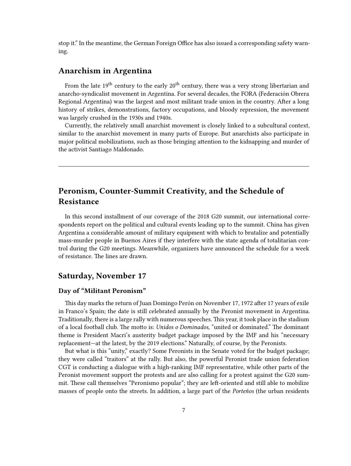stop it." In the meantime, the German Foreign Office has also issued a corresponding safety warning.

# <span id="page-6-0"></span>**Anarchism in Argentina**

From the late  $19<sup>th</sup>$  century to the early  $20<sup>th</sup>$  century, there was a very strong libertarian and anarcho-syndicalist movement in Argentina. For several decades, the FORA (Federación Obrera Regional Argentina) was the largest and most militant trade union in the country. After a long history of strikes, demonstrations, factory occupations, and bloody repression, the movement was largely crushed in the 1930s and 1940s.

Currently, the relatively small anarchist movement is closely linked to a subcultural context, similar to the anarchist movement in many parts of Europe. But anarchists also participate in major political mobilizations, such as those bringing attention to the kidnapping and murder of the activist Santiago Maldonado.

# <span id="page-6-1"></span>**Peronism, Counter-Summit Creativity, and the Schedule of Resistance**

In this second installment of our coverage of the 2018 G20 summit, our international correspondents report on the political and cultural events leading up to the summit. China has given Argentina a considerable amount of military equipment with which to brutalize and potentially mass-murder people in Buenos Aires if they interfere with the state agenda of totalitarian control during the G20 meetings. Meanwhile, organizers have announced the schedule for a week of resistance. The lines are drawn.

# <span id="page-6-2"></span>**Saturday, November 17**

## <span id="page-6-3"></span>**Day of "Militant Peronism"**

This day marks the return of Juan Domingo Perón on November 17, 1972 after 17 years of exile in Franco's Spain; the date is still celebrated annually by the Peronist movement in Argentina. Traditionally, there is a large rally with numerous speeches. This year, it took place in the stadium of a local football club. The motto is: *Unidos o Dominados,* "united or dominated." The dominant theme is President Macri's austerity budget package imposed by the IMF and his "necessary replacement—at the latest, by the 2019 elections." Naturally, of course, by the Peronists.

But what is this "unity," exactly? Some Peronists in the Senate voted for the budget package; they were called "traitors" at the rally. But also, the powerful Peronist trade union federation CGT is conducting a dialogue with a high-ranking IMF representative, while other parts of the Peronist movement support the protests and are also calling for a protest against the G20 summit. These call themselves "Peronismo popular"; they are left-oriented and still able to mobilize masses of people onto the streets. In addition, a large part of the *Porteños* (the urban residents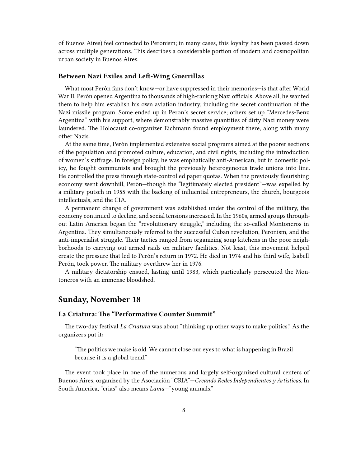of Buenos Aires) feel connected to Peronism; in many cases, this loyalty has been passed down across multiple generations. This describes a considerable portion of modern and cosmopolitan urban society in Buenos Aires.

#### <span id="page-7-0"></span>**Between Nazi Exiles and Left-Wing Guerrillas**

What most Perón fans don't know—or have suppressed in their memories—is that after World War II, Perón opened Argentina to thousands of high-ranking Nazi officials. Above all, he wanted them to help him establish his own aviation industry, including the secret continuation of the Nazi missile program. Some ended up in Peron's secret service; others set up "Mercedes-Benz Argentina" with his support, where demonstrably massive quantities of dirty Nazi money were laundered. The Holocaust co-organizer Eichmann found employment there, along with many other Nazis.

At the same time, Perón implemented extensive social programs aimed at the poorer sections of the population and promoted culture, education, and civil rights, including the introduction of women's suffrage. In foreign policy, he was emphatically anti-American, but in domestic policy, he fought communists and brought the previously heterogeneous trade unions into line. He controlled the press through state-controlled paper quotas. When the previously flourishing economy went downhill, Perón—though the "legitimately elected president"—was expelled by a military putsch in 1955 with the backing of influential entrepreneurs, the church, bourgeois intellectuals, and the CIA.

A permanent change of government was established under the control of the military, the economy continued to decline, and social tensions increased. In the 1960s, armed groups throughout Latin America began the "revolutionary struggle," including the so-called Montoneros in Argentina. They simultaneously referred to the successful Cuban revolution, Peronism, and the anti-imperialist struggle. Their tactics ranged from organizing soup kitchens in the poor neighborhoods to carrying out armed raids on military facilities. Not least, this movement helped create the pressure that led to Perón's return in 1972. He died in 1974 and his third wife, Isabell Perón, took power. The military overthrew her in 1976.

A military dictatorship ensued, lasting until 1983, which particularly persecuted the Montoneros with an immense bloodshed.

# <span id="page-7-1"></span>**Sunday, November 18**

### <span id="page-7-2"></span>**La Criatura: The "Performative Counter Summit"**

The two-day festival *La Criatura* was about "thinking up other ways to make politics." As the organizers put it:

"The politics we make is old. We cannot close our eyes to what is happening in Brazil because it is a global trend."

The event took place in one of the numerous and largely self-organized cultural centers of Buenos Aires, organized by the Asociación "CRIA"—*Creando Redes Independientes y Artisticas.* In South America, "crias" also means *Lama*—"young animals."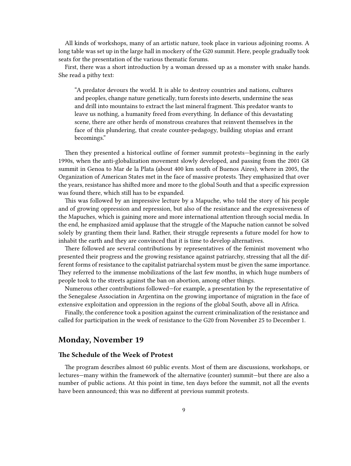All kinds of workshops, many of an artistic nature, took place in various adjoining rooms. A long table was set up in the large hall in mockery of the G20 summit. Here, people gradually took seats for the presentation of the various thematic forums.

First, there was a short introduction by a woman dressed up as a monster with snake hands. She read a pithy text:

"A predator devours the world. It is able to destroy countries and nations, cultures and peoples, change nature genetically, turn forests into deserts, undermine the seas and drill into mountains to extract the last mineral fragment. This predator wants to leave us nothing, a humanity freed from everything. In defiance of this devastating scene, there are other herds of monstrous creatures that reinvent themselves in the face of this plundering, that create counter-pedagogy, building utopias and errant becomings."

Then they presented a historical outline of former summit protests—beginning in the early 1990s, when the anti-globalization movement slowly developed, and passing from the 2001 G8 summit in Genoa to Mar de la Plata (about 400 km south of Buenos Aires), where in 2005, the Organization of American States met in the face of massive protests. They emphasized that over the years, resistance has shifted more and more to the global South and that a specific expression was found there, which still has to be expanded.

This was followed by an impressive lecture by a Mapuche, who told the story of his people and of growing oppression and repression, but also of the resistance and the expressiveness of the Mapuches, which is gaining more and more international attention through social media. In the end, he emphasized amid applause that the struggle of the Mapuche nation cannot be solved solely by granting them their land. Rather, their struggle represents a future model for how to inhabit the earth and they are convinced that it is time to develop alternatives.

There followed are several contributions by representatives of the feminist movement who presented their progress and the growing resistance against patriarchy, stressing that all the different forms of resistance to the capitalist patriarchal system must be given the same importance. They referred to the immense mobilizations of the last few months, in which huge numbers of people took to the streets against the ban on abortion, among other things.

Numerous other contributions followed—for example, a presentation by the representative of the Senegalese Association in Argentina on the growing importance of migration in the face of extensive exploitation and oppression in the regions of the global South, above all in Africa.

Finally, the conference took a position against the current criminalization of the resistance and called for participation in the week of resistance to the G20 from November 25 to December 1.

# <span id="page-8-0"></span>**Monday, November 19**

#### <span id="page-8-1"></span>**The Schedule of the Week of Protest**

The program describes almost 60 public events. Most of them are discussions, workshops, or lectures—many within the framework of the alternative (counter) summit—but there are also a number of public actions. At this point in time, ten days before the summit, not all the events have been announced; this was no different at previous summit protests.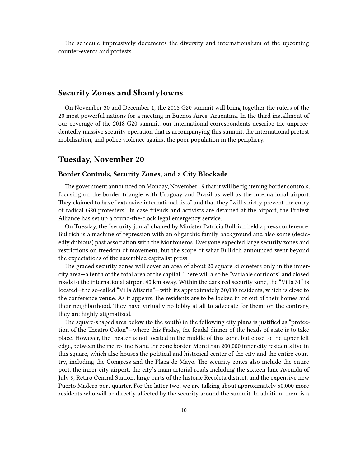The schedule impressively documents the diversity and internationalism of the upcoming counter-events and protests.

## <span id="page-9-0"></span>**Security Zones and Shantytowns**

On November 30 and December 1, the 2018 G20 summit will bring together the rulers of the 20 most powerful nations for a meeting in Buenos Aires, Argentina. In the third installment of our coverage of the 2018 G20 summit, our international correspondents describe the unprecedentedly massive security operation that is accompanying this summit, the international protest mobilization, and police violence against the poor population in the periphery.

# <span id="page-9-1"></span>**Tuesday, November 20**

## <span id="page-9-2"></span>**Border Controls, Security Zones, and a City Blockade**

The government announced on Monday, November 19 that it will be tightening border controls, focusing on the border triangle with Uruguay and Brazil as well as the international airport. They claimed to have "extensive international lists" and that they "will strictly prevent the entry of radical G20 protesters." In case friends and activists are detained at the airport, the Protest Alliance has set up a round-the-clock legal emergency service.

On Tuesday, the "security junta" chaired by Minister Patricia Bullrich held a press conference; Bullrich is a machine of repression with an oligarchic family background and also some (decidedly dubious) past association with the Montoneros. Everyone expected large security zones and restrictions on freedom of movement, but the scope of what Bullrich announced went beyond the expectations of the assembled capitalist press.

The graded security zones will cover an area of about 20 square kilometers only in the innercity area—a tenth of the total area of the capital. There will also be "variable corridors" and closed roads to the international airport 40 km away. Within the dark red security zone, the "Villa 31" is located—the so-called "Villa Miseria"—with its approximately 30,000 residents, which is close to the conference venue. As it appears, the residents are to be locked in or out of their homes and their neighborhood. They have virtually no lobby at all to advocate for them; on the contrary, they are highly stigmatized.

The square-shaped area below (to the south) in the following city plans is justified as "protection of the Theatro Colon"—where this Friday, the feudal dinner of the heads of state is to take place. However, the theater is not located in the middle of this zone, but close to the upper left edge, between the metro line B and the zone border. More than 200,000 inner city residents live in this square, which also houses the political and historical center of the city and the entire country, including the Congress and the Plaza de Mayo. The security zones also include the entire port, the inner-city airport, the city's main arterial roads including the sixteen-lane Avenida of July 9, Retiro Central Station, large parts of the historic Recoleta district, and the expensive new Puerto Madero port quarter. For the latter two, we are talking about approximately 50,000 more residents who will be directly affected by the security around the summit. In addition, there is a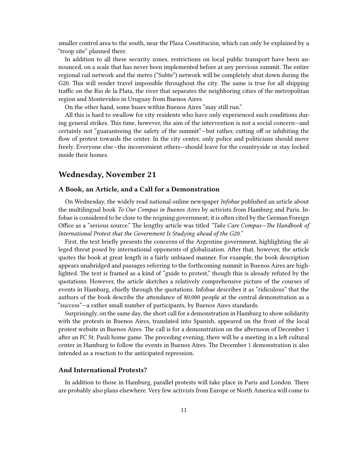smaller control area to the south, near the Plaza Constitución, which can only be explained by a "troop site" planned there.

In addition to all these security zones, restrictions on local public transport have been announced, on a scale that has never been implemented before at any previous summit. The entire regional rail network and the metro ("Subte") network will be completely shut down during the G20. This will render travel impossible throughout the city. The same is true for all shipping traffic on the Rio de la Plata, the river that separates the neighboring cities of the metropolitan region and Montevideo in Uruguay from Buenos Aires.

On the other hand, some buses within Buenos Aires "may still run."

All this is hard to swallow for city residents who have only experienced such conditions during general strikes. This time, however, the aim of the intervention is not a social concern—and certainly not "guaranteeing the safety of the summit"—but rather, cutting off or inhibiting the flow of protest towards the center. In the city center, only police and politicians should move freely. Everyone else—the inconvenient others—should leave for the countryside or stay locked inside their homes.

# <span id="page-10-0"></span>**Wednesday, November 21**

#### <span id="page-10-1"></span>**A Book, an Article, and a Call for a Demonstration**

On Wednesday, the widely read national online newspaper *Infobae* published an article about the multilingual book *To Our Compas in Buenos Aires* by activists from Hamburg and Paris. Infobae is considered to be close to the reigning government; it is often cited by the German Foreign Office as a "serious source." The lengthy article was titled *"Take Care Compas—The Handbook of International Protest that the Government Is Studying ahead of the G20."*

First, the text briefly presents the concerns of the Argentine government, highlighting the alleged threat posed by international opponents of globalization. After that, however, the article quotes the book at great length in a fairly unbiased manner. For example, the book description appears unabridged and passages referring to the forthcoming summit in Buenos Aires are highlighted. The text is framed as a kind of "guide to protest," though this is already refuted by the quotations. However, the article sketches a relatively comprehensive picture of the courses of events in Hamburg, chiefly through the quotations. Infobae describes it as "ridiculous" that the authors of the book describe the attendance of 80,000 people at the central demonstration as a "success"—a rather small number of participants, by Buenos Aires standards.

Surprisingly, on the same day, the short call for a demonstration in Hamburg to show solidarity with the protests in Buenos Aires, translated into Spanish, appeared on the front of the local protest website in Buenos Aires. The call is for a demonstration on the afternoon of December 1 after an FC St. Pauli home game. The preceding evening, there will be a meeting in a left cultural center in Hamburg to follow the events in Buenos Aires. The December 1 demonstration is also intended as a reaction to the anticipated repression.

## <span id="page-10-2"></span>**And International Protests?**

In addition to those in Hamburg, parallel protests will take place in Paris and London. There are probably also plans elsewhere. Very few activists from Europe or North America will come to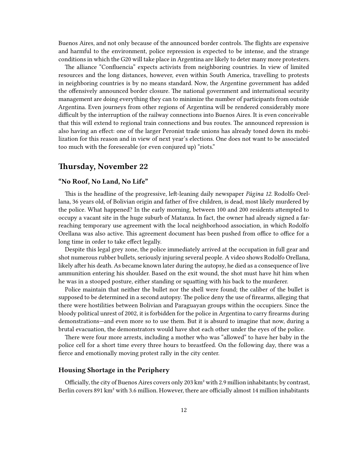Buenos Aires, and not only because of the announced border controls. The flights are expensive and harmful to the environment, police repression is expected to be intense, and the strange conditions in which the G20 will take place in Argentina are likely to deter many more protesters.

The alliance "Confluencia" expects activists from neighboring countries. In view of limited resources and the long distances, however, even within South America, travelling to protests in neighboring countries is by no means standard. Now, the Argentine government has added the offensively announced border closure. The national government and international security management are doing everything they can to minimize the number of participants from outside Argentina. Even journeys from other regions of Argentina will be rendered considerably more difficult by the interruption of the railway connections into Buenos Aires. It is even conceivable that this will extend to regional train connections and bus routes. The announced repression is also having an effect: one of the larger Peronist trade unions has already toned down its mobilization for this reason and in view of next year's elections. One does not want to be associated too much with the foreseeable (or even conjured up) "riots."

# <span id="page-11-0"></span>**Thursday, November 22**

## <span id="page-11-1"></span>**"No Roof, No Land, No Life"**

This is the headline of the progressive, left-leaning daily newspaper *Página 12.* Rodolfo Orellana, 36 years old, of Bolivian origin and father of five children, is dead, most likely murdered by the police. What happened? In the early morning, between 100 and 200 residents attempted to occupy a vacant site in the huge suburb of Matanza. In fact, the owner had already signed a farreaching temporary use agreement with the local neighborhood association, in which Rodolfo Orellana was also active. This agreement document has been pushed from office to office for a long time in order to take effect legally.

Despite this legal grey zone, the police immediately arrived at the occupation in full gear and shot numerous rubber bullets, seriously injuring several people. A video shows Rodolfo Orellana, likely after his death. As became known later during the autopsy, he died as a consequence of live ammunition entering his shoulder. Based on the exit wound, the shot must have hit him when he was in a stooped posture, either standing or squatting with his back to the murderer.

Police maintain that neither the bullet nor the shell were found; the caliber of the bullet is supposed to be determined in a second autopsy. The police deny the use of firearms, alleging that there were hostilities between Bolivian and Paraguayan groups within the occupiers. Since the bloody political unrest of 2002, it is forbidden for the police in Argentina to carry firearms during demonstrations—and even more so to use them. But it is absurd to imagine that now, during a brutal evacuation, the demonstrators would have shot each other under the eyes of the police.

There were four more arrests, including a mother who was "allowed" to have her baby in the police cell for a short time every three hours to breastfeed. On the following day, there was a fierce and emotionally moving protest rally in the city center.

### <span id="page-11-2"></span>**Housing Shortage in the Periphery**

Officially, the city of Buenos Aires covers only 203 km² with 2.9 million inhabitants; by contrast, Berlin covers 891 km² with 3.6 million. However, there are officially almost 14 million inhabitants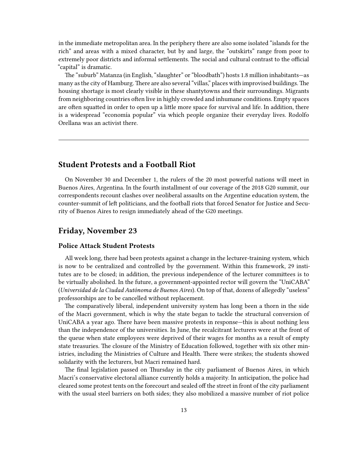in the immediate metropolitan area. In the periphery there are also some isolated "islands for the rich" and areas with a mixed character, but by and large, the "outskirts" range from poor to extremely poor districts and informal settlements. The social and cultural contrast to the official "capital" is dramatic.

The "suburb" Matanza (in English, "slaughter" or "bloodbath") hosts 1.8 million inhabitants—as many as the city of Hamburg. There are also several "villas," places with improvised buildings. The housing shortage is most clearly visible in these shantytowns and their surroundings. Migrants from neighboring countries often live in highly crowded and inhumane conditions. Empty spaces are often squatted in order to open up a little more space for survival and life. In addition, there is a widespread "economía popular" via which people organize their everyday lives. Rodolfo Orellana was an activist there.

# <span id="page-12-0"></span>**Student Protests and a Football Riot**

On November 30 and December 1, the rulers of the 20 most powerful nations will meet in Buenos Aires, Argentina. In the fourth installment of our coverage of the 2018 G20 summit, our correspondents recount clashes over neoliberal assaults on the Argentine education system, the counter-summit of left politicians, and the football riots that forced Senator for Justice and Security of Buenos Aires to resign immediately ahead of the G20 meetings.

## <span id="page-12-1"></span>**Friday, November 23**

## <span id="page-12-2"></span>**Police Attack Student Protests**

All week long, there had been protests against a change in the lecturer-training system, which is now to be centralized and controlled by the government. Within this framework, 29 institutes are to be closed; in addition, the previous independence of the lecturer committees is to be virtually abolished. In the future, a government-appointed rector will govern the "UniCABA" (*Universidad de la Ciudad Autónoma de Buenos Aires*). On top of that, dozens of allegedly "useless" professorships are to be cancelled without replacement.

The comparatively liberal, independent university system has long been a thorn in the side of the Macri government, which is why the state began to tackle the structural conversion of UniCABA a year ago. There have been massive protests in response—this is about nothing less than the independence of the universities. In June, the recalcitrant lecturers were at the front of the queue when state employees were deprived of their wages for months as a result of empty state treasuries. The closure of the Ministry of Education followed, together with six other ministries, including the Ministries of Culture and Health. There were strikes; the students showed solidarity with the lecturers, but Macri remained hard.

The final legislation passed on Thursday in the city parliament of Buenos Aires, in which Macri's conservative electoral alliance currently holds a majority. In anticipation, the police had cleared some protest tents on the forecourt and sealed off the street in front of the city parliament with the usual steel barriers on both sides; they also mobilized a massive number of riot police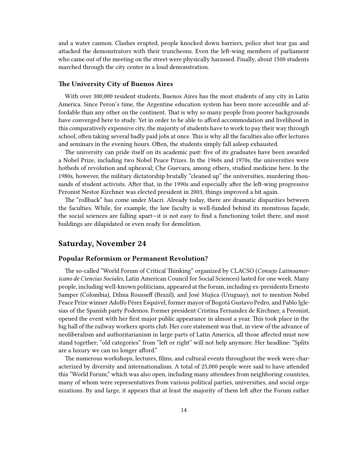and a water cannon. Clashes erupted, people knocked down barriers, police shot tear gas and attacked the demonstrators with their truncheons. Even the left-wing members of parliament who came out of the meeting on the street were physically harassed. Finally, about 1500 students marched through the city center in a loud demonstration.

#### <span id="page-13-0"></span>**The University City of Buenos Aires**

With over 300,000 resident students, Buenos Aires has the most students of any city in Latin America. Since Peron's time, the Argentine education system has been more accessible and affordable than any other on the continent. That is why so many people from poorer backgrounds have converged here to study. Yet in order to be able to afford accommodation and livelihood in this comparatively expensive city, the majority of students have to work to pay their way through school, often taking several badly paid jobs at once. This is why all the faculties also offer lectures and seminars in the evening hours. Often, the students simply fall asleep exhausted.

The university can pride itself on its academic past: five of its graduates have been awarded a Nobel Prize, including two Nobel Peace Prizes. In the 1960s and 1970s, the universities were hotbeds of revolution and upheaval; Che Guevara, among others, studied medicine here. In the 1980s, however, the military dictatorship brutally "cleaned up" the universities, murdering thousands of student activists. After that, in the 1990s and especially after the left-wing progressive Peronist Nestor Kirchner was elected president in 2003, things improved a bit again.

The "rollback" has come under Macri. Already today, there are dramatic disparities between the faculties. While, for example, the law faculty is well-funded behind its monstrous façade, the social sciences are falling apart—it is not easy to find a functioning toilet there, and most buildings are dilapidated or even ready for demolition.

# <span id="page-13-1"></span>**Saturday, November 24**

## <span id="page-13-2"></span>**Popular Reformism or Permanent Revolution?**

The so-called "World Forum of Critical Thinking" organized by CLACSO (*Consejo Latinoamericano de Ciencias Sociales,* Latin American Council for Social Sciences) lasted for one week. Many people, including well-known politicians, appeared at the forum, including ex-presidents Ernesto Samper (Colombia), Dilma Rousseff (Brazil), and José Mujica (Uruguay), not to mention Nobel Peace Prize winner Adolfo Pérez Esquivel, former mayor of Bogotá Gustavo Pedro, and Pablo Iglesias of the Spanish party Podemos. Former president Cristina Fernandez de Kirchner, a Peronist, opened the event with her first major public appearance in almost a year. This took place in the big hall of the railway workers sports club. Her core statement was that, in view of the advance of neoliberalism and authoritarianism in large parts of Latin America, all those affected must now stand together; "old categories" from "left or right" will not help anymore. Her headline: "Splits are a luxury we can no longer afford."

The numerous workshops, lectures, films, and cultural events throughout the week were characterized by diversity and internationalism. A total of 25,000 people were said to have attended this "World Forum," which was also open, including many attendees from neighboring countries, many of whom were representatives from various political parties, universities, and social organizations. By and large, it appears that at least the majority of them left after the Forum rather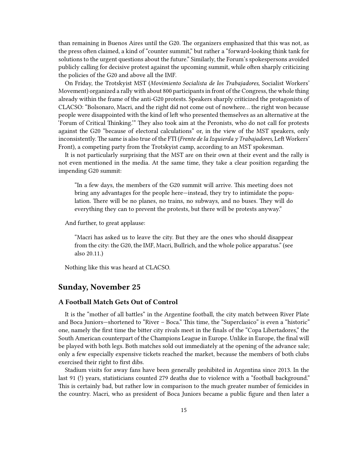than remaining in Buenos Aires until the G20. The organizers emphasized that this was not, as the press often claimed, a kind of "counter summit," but rather a "forward-looking think tank for solutions to the urgent questions about the future." Similarly, the Forum's spokespersons avoided publicly calling for decisive protest against the upcoming summit, while often sharply criticizing the policies of the G20 and above all the IMF.

On Friday, the Trotskyist MST (*Movimiento Socialista de los Trabajadores,* Socialist Workers' Movement) organized a rally with about 800 participants in front of the Congress, the whole thing already within the frame of the anti-G20 protests. Speakers sharply criticized the protagonists of CLACSO: "Bolsonaro, Macri, and the right did not come out of nowhere… the right won because people were disappointed with the kind of left who presented themselves as an alternative at the 'Forum of Critical Thinking.'" They also took aim at the Peronists, who do not call for protests against the G20 "because of electoral calculations" or, in the view of the MST speakers, only inconsistently. The same is also true of the FTI (*Frente de la Izquierda y Trabajadores,* Left Workers' Front), a competing party from the Trotskyist camp, according to an MST spokesman.

It is not particularly surprising that the MST are on their own at their event and the rally is not even mentioned in the media. At the same time, they take a clear position regarding the impending G20 summit:

"In a few days, the members of the G20 summit will arrive. This meeting does not bring any advantages for the people here—instead, they try to intimidate the population. There will be no planes, no trains, no subways, and no buses. They will do everything they can to prevent the protests, but there will be protests anyway."

And further, to great applause:

"Macri has asked us to leave the city. But they are the ones who should disappear from the city: the G20, the IMF, Macri, Bullrich, and the whole police apparatus." (see also 20.11.)

Nothing like this was heard at CLACSO.

## <span id="page-14-0"></span>**Sunday, November 25**

## <span id="page-14-1"></span>**A Football Match Gets Out of Control**

It is the "mother of all battles" in the Argentine football, the city match between River Plate and Boca Juniors—shortened to "River – Boca." This time, the "Superclasico" is even a "historic" one, namely the first time the bitter city rivals meet in the finals of the "Copa Libertadores," the South American counterpart of the Champions League in Europe. Unlike in Europe, the final will be played with both legs. Both matches sold out immediately at the opening of the advance sale; only a few especially expensive tickets reached the market, because the members of both clubs exercised their right to first dibs.

Stadium visits for away fans have been generally prohibited in Argentina since 2013. In the last 91 (!) years, statisticians counted 279 deaths due to violence with a "football background." This is certainly bad, but rather low in comparison to the much greater number of femicides in the country. Macri, who as president of Boca Juniors became a public figure and then later a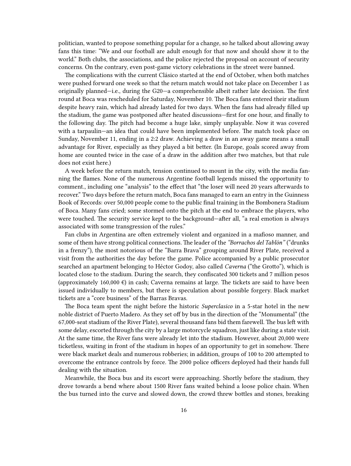politician, wanted to propose something popular for a change, so he talked about allowing away fans this time: "We and our football are adult enough for that now and should show it to the world." Both clubs, the associations, and the police rejected the proposal on account of security concerns. On the contrary, even post-game victory celebrations in the street were banned.

The complications with the current Clásico started at the end of October, when both matches were pushed forward one week so that the return match would not take place on December 1 as originally planned—i.e., during the G20—a comprehensible albeit rather late decision. The first round at Boca was rescheduled for Saturday, November 10. The Boca fans entered their stadium despite heavy rain, which had already lasted for two days. When the fans had already filled up the stadium, the game was postponed after heated discussions—first for one hour, and finally to the following day. The pitch had become a huge lake, simply unplayable. Now it was covered with a tarpaulin—an idea that could have been implemented before. The match took place on Sunday, November 11, ending in a 2:2 draw. Achieving a draw in an away game means a small advantage for River, especially as they played a bit better. (In Europe, goals scored away from home are counted twice in the case of a draw in the addition after two matches, but that rule does not exist here.)

A week before the return match, tension continued to mount in the city, with the media fanning the flames. None of the numerous Argentine football legends missed the opportunity to comment., including one "analysis" to the effect that "the loser will need 20 years afterwards to recover." Two days before the return match, Boca fans managed to earn an entry in the Guinness Book of Records: over 50,000 people come to the public final training in the Bombonera Stadium of Boca. Many fans cried; some stormed onto the pitch at the end to embrace the players, who were touched. The security service kept to the background—after all, "a real emotion is always associated with some transgression of the rules."

Fan clubs in Argentina are often extremely violent and organized in a mafioso manner, and some of them have strong political connections. The leader of the *"Borrachos del Tablón"* ("drunks in a frenzy"), the most notorious of the "Barra Brava" grouping around River Plate, received a visit from the authorities the day before the game. Police accompanied by a public prosecutor searched an apartment belonging to Héctor Godoy, also called *Caverna* ("the Grotto"), which is located close to the stadium. During the search, they confiscated 300 tickets and 7 million pesos (approximately 160,000  $\epsilon$ ) in cash; Caverna remains at large. The tickets are said to have been issued individually to members, but there is speculation about possible forgery. Black market tickets are a "core business" of the Barras Bravas.

The Boca team spent the night before the historic *Superclasico* in a 5-star hotel in the new noble district of Puerto Madero. As they set off by bus in the direction of the "Monumental" (the 67,000-seat stadium of the River Plate), several thousand fans bid them farewell. The bus left with some delay, escorted through the city by a large motorcycle squadron, just like during a state visit. At the same time, the River fans were already let into the stadium. However, about 20,000 were ticketless, waiting in front of the stadium in hopes of an opportunity to get in somehow. There were black market deals and numerous robberies; in addition, groups of 100 to 200 attempted to overcome the entrance controls by force. The 2000 police officers deployed had their hands full dealing with the situation.

Meanwhile, the Boca bus and its escort were approaching. Shortly before the stadium, they drove towards a bend where about 1500 River fans waited behind a loose police chain. When the bus turned into the curve and slowed down, the crowd threw bottles and stones, breaking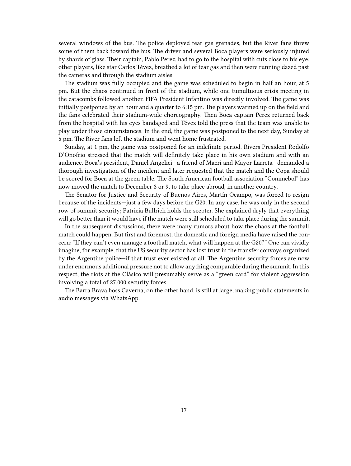several windows of the bus. The police deployed tear gas grenades, but the River fans threw some of them back toward the bus. The driver and several Boca players were seriously injured by shards of glass. Their captain, Pablo Perez, had to go to the hospital with cuts close to his eye; other players, like star Carlos Tévez, breathed a lot of tear gas and then were running dazed past the cameras and through the stadium aisles.

The stadium was fully occupied and the game was scheduled to begin in half an hour, at 5 pm. But the chaos continued in front of the stadium, while one tumultuous crisis meeting in the catacombs followed another. FIFA President Infantino was directly involved. The game was initially postponed by an hour and a quarter to 6:15 pm. The players warmed up on the field and the fans celebrated their stadium-wide choreography. Then Boca captain Perez returned back from the hospital with his eyes bandaged and Tévez told the press that the team was unable to play under those circumstances. In the end, the game was postponed to the next day, Sunday at 5 pm. The River fans left the stadium and went home frustrated.

Sunday, at 1 pm, the game was postponed for an indefinite period. Rivers President Rodolfo D'Onofrio stressed that the match will definitely take place in his own stadium and with an audience. Boca's president, Daniel Angelici—a friend of Macri and Mayor Larreta—demanded a thorough investigation of the incident and later requested that the match and the Copa should be scored for Boca at the green table. The South American football association "Commebol" has now moved the match to December 8 or 9, to take place abroad, in another country.

The Senator for Justice and Security of Buenos Aires, Martín Ocampo, was forced to resign because of the incidents—just a few days before the G20. In any case, he was only in the second row of summit security; Patricia Bullrich holds the scepter. She explained dryly that everything will go better than it would have if the match were still scheduled to take place during the summit.

In the subsequent discussions, there were many rumors about how the chaos at the football match could happen. But first and foremost, the domestic and foreign media have raised the concern: "If they can't even manage a football match, what will happen at the G20?" One can vividly imagine, for example, that the US security sector has lost trust in the transfer convoys organized by the Argentine police—if that trust ever existed at all. The Argentine security forces are now under enormous additional pressure not to allow anything comparable during the summit. In this respect, the riots at the Clásico will presumably serve as a "green card" for violent aggression involving a total of 27,000 security forces.

The Barra Brava boss Caverna, on the other hand, is still at large, making public statements in audio messages via WhatsApp.